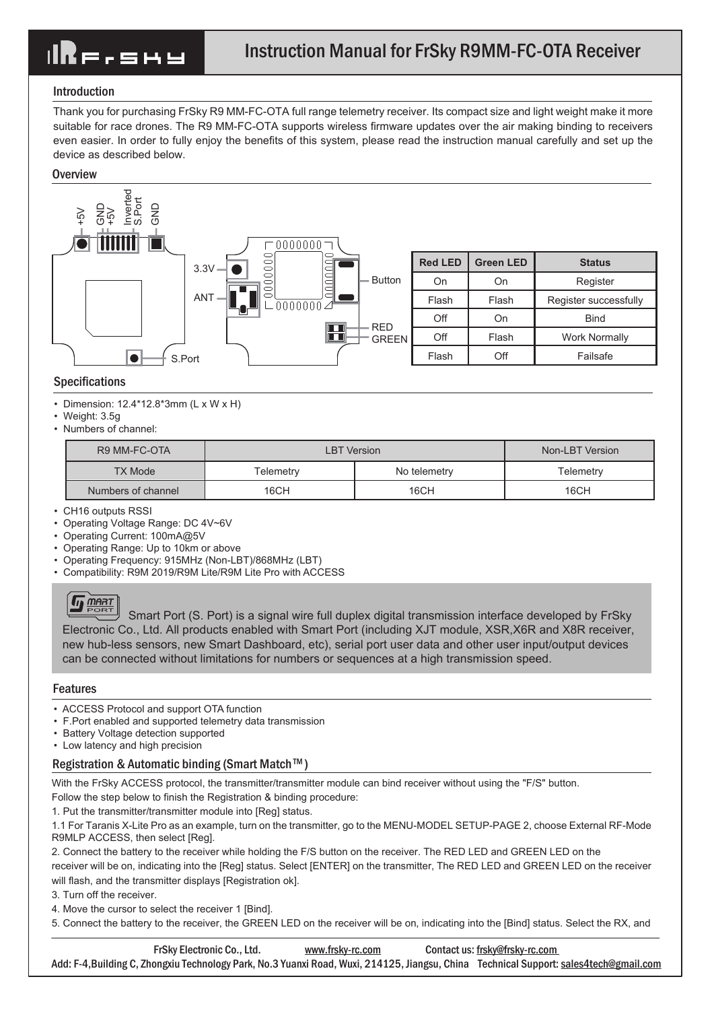# IRE.shy

# Introduction

Thank you for purchasing FrSky R9 MM-FC-OTA full range telemetry receiver. Its compact size and light weight make it more suitable for race drones. The R9 MM-FC-OTA supports wireless firmware updates over the air making binding to receivers even easier. In order to fully enjoy the benefits of this system, please read the instruction manual carefully and set up the device as described below.

### **Overview**



### Specifications

• Dimension:  $12.4*12.8*3mm$  (L x W x H)

- Weight: 3.5g
- Numbers of channel:

| R9 MM-FC-OTA       | <b>LBT</b> Version |              | Non-LBT Version |
|--------------------|--------------------|--------------|-----------------|
| <b>TX Mode</b>     | Telemetry          | No telemetry | Telemetrv       |
| Numbers of channel | 16CH               | 16CH         | 16CH            |

- CH16 outputs RSSI
- Operating Voltage Range: DC 4V~6V
- Operating Current: 100mA@5V
- Operating Range: Up to 10km or above
- Operating Frequency: 915MHz (Non-LBT)/868MHz (LBT)
- Compatibility: R9M 2019/R9M Lite/R9M Lite Pro with ACCESS

 $\left(\frac{m_{\text{H}}}{p_{\text{S}}}\right)$  Smart Port (S. Port) is a signal wire full duplex digital transmission interface developed by FrSky Electronic Co., Ltd. All products enabled with Smart Port (including XJT module, XSR,X6R and X8R receiver, new hub-less sensors, new Smart Dashboard, etc), serial port user data and other user input/output devices can be connected without limitations for numbers or sequences at a high transmission speed.

# Features

- ACCESS Protocol and support OTA function
- F.Port enabled and supported telemetry data transmission
- Battery Voltage detection supported
- Low latency and high precision

# Registration & Automatic binding (Smart Match™)

With the FrSky ACCESS protocol, the transmitter/transmitter module can bind receiver without using the "F/S" button.

Follow the step below to finish the Registration & binding procedure:

1. Put the transmitter/transmitter module into [Reg] status.

1.1 For Taranis X-Lite Pro as an example, turn on the transmitter, go to the MENU-MODEL SETUP-PAGE 2, choose External RF-Mode R9MLP ACCESS, then select [Reg].

2. Connect the battery to the receiver while holding the F/S button on the receiver. The RED LED and GREEN LED on the receiver will be on, indicating into the [Reg] status. Select [ENTER] on the transmitter, The RED LED and GREEN LED on the receiver will flash, and the transmitter displays [Registration ok].

3. Turn off the receiver.

4. Move the cursor to select the receiver 1 [Bind].

5. Connect the battery to the receiver, the GREEN LED on the receiver will be on, indicating into the [Bind] status. Select the RX, and